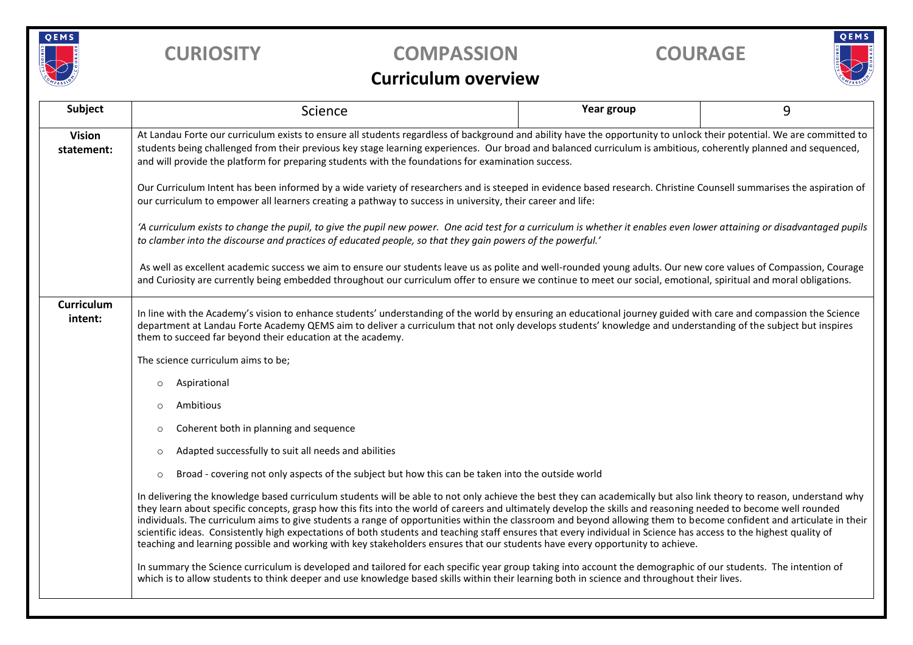

# **CURIOSITY COMPASSION COURAGE**



### **Curriculum overview**

| Subject                     | Science                                                                                                                                                                                                                                                                                                                                                                                                                                                                                                                                                                                                                                                                                                                                                                                                                | Year group | 9 |  |  |  |
|-----------------------------|------------------------------------------------------------------------------------------------------------------------------------------------------------------------------------------------------------------------------------------------------------------------------------------------------------------------------------------------------------------------------------------------------------------------------------------------------------------------------------------------------------------------------------------------------------------------------------------------------------------------------------------------------------------------------------------------------------------------------------------------------------------------------------------------------------------------|------------|---|--|--|--|
| <b>Vision</b><br>statement: | At Landau Forte our curriculum exists to ensure all students regardless of background and ability have the opportunity to unlock their potential. We are committed to<br>students being challenged from their previous key stage learning experiences. Our broad and balanced curriculum is ambitious, coherently planned and sequenced,<br>and will provide the platform for preparing students with the foundations for examination success.                                                                                                                                                                                                                                                                                                                                                                         |            |   |  |  |  |
|                             | Our Curriculum Intent has been informed by a wide variety of researchers and is steeped in evidence based research. Christine Counsell summarises the aspiration of<br>our curriculum to empower all learners creating a pathway to success in university, their career and life:                                                                                                                                                                                                                                                                                                                                                                                                                                                                                                                                      |            |   |  |  |  |
|                             | 'A curriculum exists to change the pupil, to give the pupil new power. One acid test for a curriculum is whether it enables even lower attaining or disadvantaged pupils<br>to clamber into the discourse and practices of educated people, so that they gain powers of the powerful.'                                                                                                                                                                                                                                                                                                                                                                                                                                                                                                                                 |            |   |  |  |  |
|                             | As well as excellent academic success we aim to ensure our students leave us as polite and well-rounded young adults. Our new core values of Compassion, Courage<br>and Curiosity are currently being embedded throughout our curriculum offer to ensure we continue to meet our social, emotional, spiritual and moral obligations.                                                                                                                                                                                                                                                                                                                                                                                                                                                                                   |            |   |  |  |  |
| Curriculum<br>intent:       | In line with the Academy's vision to enhance students' understanding of the world by ensuring an educational journey guided with care and compassion the Science<br>department at Landau Forte Academy QEMS aim to deliver a curriculum that not only develops students' knowledge and understanding of the subject but inspires<br>them to succeed far beyond their education at the academy.                                                                                                                                                                                                                                                                                                                                                                                                                         |            |   |  |  |  |
|                             | The science curriculum aims to be;                                                                                                                                                                                                                                                                                                                                                                                                                                                                                                                                                                                                                                                                                                                                                                                     |            |   |  |  |  |
|                             | Aspirational<br>$\circ$                                                                                                                                                                                                                                                                                                                                                                                                                                                                                                                                                                                                                                                                                                                                                                                                |            |   |  |  |  |
|                             | Ambitious<br>$\circ$                                                                                                                                                                                                                                                                                                                                                                                                                                                                                                                                                                                                                                                                                                                                                                                                   |            |   |  |  |  |
|                             | Coherent both in planning and sequence<br>$\circ$                                                                                                                                                                                                                                                                                                                                                                                                                                                                                                                                                                                                                                                                                                                                                                      |            |   |  |  |  |
|                             | Adapted successfully to suit all needs and abilities<br>$\circ$                                                                                                                                                                                                                                                                                                                                                                                                                                                                                                                                                                                                                                                                                                                                                        |            |   |  |  |  |
|                             | Broad - covering not only aspects of the subject but how this can be taken into the outside world<br>$\circ$                                                                                                                                                                                                                                                                                                                                                                                                                                                                                                                                                                                                                                                                                                           |            |   |  |  |  |
|                             | In delivering the knowledge based curriculum students will be able to not only achieve the best they can academically but also link theory to reason, understand why<br>they learn about specific concepts, grasp how this fits into the world of careers and ultimately develop the skills and reasoning needed to become well rounded<br>individuals. The curriculum aims to give students a range of opportunities within the classroom and beyond allowing them to become confident and articulate in their<br>scientific ideas. Consistently high expectations of both students and teaching staff ensures that every individual in Science has access to the highest quality of<br>teaching and learning possible and working with key stakeholders ensures that our students have every opportunity to achieve. |            |   |  |  |  |
|                             | In summary the Science curriculum is developed and tailored for each specific year group taking into account the demographic of our students. The intention of<br>which is to allow students to think deeper and use knowledge based skills within their learning both in science and throughout their lives.                                                                                                                                                                                                                                                                                                                                                                                                                                                                                                          |            |   |  |  |  |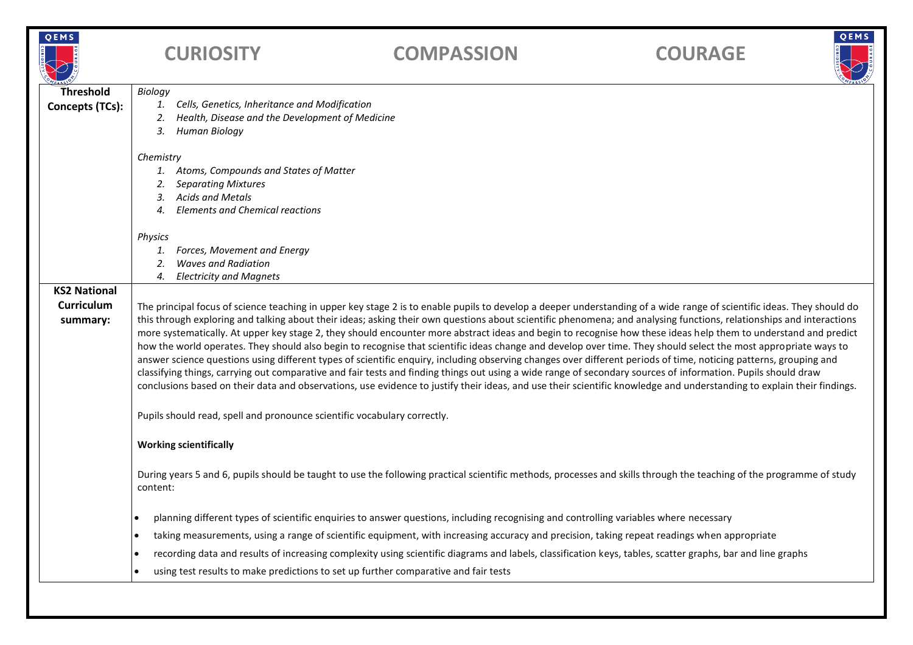| ∉،<br>M | ۰      |
|---------|--------|
|         | w<br>ŝ |

# **CURIOSITY COMPASSION COURAGE**



| OMPASSIO                                                                                                                                                                                                                                                                                                                                                                                                                                                                                                                                                                                                                                                                                                                                                                                                                                                                                                                                                                                                                                                                                                                                                                                                                                                                         |  |  |  |
|----------------------------------------------------------------------------------------------------------------------------------------------------------------------------------------------------------------------------------------------------------------------------------------------------------------------------------------------------------------------------------------------------------------------------------------------------------------------------------------------------------------------------------------------------------------------------------------------------------------------------------------------------------------------------------------------------------------------------------------------------------------------------------------------------------------------------------------------------------------------------------------------------------------------------------------------------------------------------------------------------------------------------------------------------------------------------------------------------------------------------------------------------------------------------------------------------------------------------------------------------------------------------------|--|--|--|
| Biology                                                                                                                                                                                                                                                                                                                                                                                                                                                                                                                                                                                                                                                                                                                                                                                                                                                                                                                                                                                                                                                                                                                                                                                                                                                                          |  |  |  |
| Cells, Genetics, Inheritance and Modification<br>1.                                                                                                                                                                                                                                                                                                                                                                                                                                                                                                                                                                                                                                                                                                                                                                                                                                                                                                                                                                                                                                                                                                                                                                                                                              |  |  |  |
| Health, Disease and the Development of Medicine<br>2.                                                                                                                                                                                                                                                                                                                                                                                                                                                                                                                                                                                                                                                                                                                                                                                                                                                                                                                                                                                                                                                                                                                                                                                                                            |  |  |  |
| 3.<br>Human Biology                                                                                                                                                                                                                                                                                                                                                                                                                                                                                                                                                                                                                                                                                                                                                                                                                                                                                                                                                                                                                                                                                                                                                                                                                                                              |  |  |  |
| Chemistry                                                                                                                                                                                                                                                                                                                                                                                                                                                                                                                                                                                                                                                                                                                                                                                                                                                                                                                                                                                                                                                                                                                                                                                                                                                                        |  |  |  |
| 1. Atoms, Compounds and States of Matter                                                                                                                                                                                                                                                                                                                                                                                                                                                                                                                                                                                                                                                                                                                                                                                                                                                                                                                                                                                                                                                                                                                                                                                                                                         |  |  |  |
| <b>Separating Mixtures</b><br>2.                                                                                                                                                                                                                                                                                                                                                                                                                                                                                                                                                                                                                                                                                                                                                                                                                                                                                                                                                                                                                                                                                                                                                                                                                                                 |  |  |  |
| <b>Acids and Metals</b><br>3.                                                                                                                                                                                                                                                                                                                                                                                                                                                                                                                                                                                                                                                                                                                                                                                                                                                                                                                                                                                                                                                                                                                                                                                                                                                    |  |  |  |
| 4. Elements and Chemical reactions                                                                                                                                                                                                                                                                                                                                                                                                                                                                                                                                                                                                                                                                                                                                                                                                                                                                                                                                                                                                                                                                                                                                                                                                                                               |  |  |  |
| Physics                                                                                                                                                                                                                                                                                                                                                                                                                                                                                                                                                                                                                                                                                                                                                                                                                                                                                                                                                                                                                                                                                                                                                                                                                                                                          |  |  |  |
| Forces, Movement and Energy<br>1.                                                                                                                                                                                                                                                                                                                                                                                                                                                                                                                                                                                                                                                                                                                                                                                                                                                                                                                                                                                                                                                                                                                                                                                                                                                |  |  |  |
| <b>Waves and Radiation</b><br>2.                                                                                                                                                                                                                                                                                                                                                                                                                                                                                                                                                                                                                                                                                                                                                                                                                                                                                                                                                                                                                                                                                                                                                                                                                                                 |  |  |  |
| <b>Electricity and Magnets</b><br>4.                                                                                                                                                                                                                                                                                                                                                                                                                                                                                                                                                                                                                                                                                                                                                                                                                                                                                                                                                                                                                                                                                                                                                                                                                                             |  |  |  |
|                                                                                                                                                                                                                                                                                                                                                                                                                                                                                                                                                                                                                                                                                                                                                                                                                                                                                                                                                                                                                                                                                                                                                                                                                                                                                  |  |  |  |
| The principal focus of science teaching in upper key stage 2 is to enable pupils to develop a deeper understanding of a wide range of scientific ideas. They should do<br>this through exploring and talking about their ideas; asking their own questions about scientific phenomena; and analysing functions, relationships and interactions<br>more systematically. At upper key stage 2, they should encounter more abstract ideas and begin to recognise how these ideas help them to understand and predict<br>how the world operates. They should also begin to recognise that scientific ideas change and develop over time. They should select the most appropriate ways to<br>answer science questions using different types of scientific enquiry, including observing changes over different periods of time, noticing patterns, grouping and<br>classifying things, carrying out comparative and fair tests and finding things out using a wide range of secondary sources of information. Pupils should draw<br>conclusions based on their data and observations, use evidence to justify their ideas, and use their scientific knowledge and understanding to explain their findings.<br>Pupils should read, spell and pronounce scientific vocabulary correctly. |  |  |  |
| <b>Working scientifically</b>                                                                                                                                                                                                                                                                                                                                                                                                                                                                                                                                                                                                                                                                                                                                                                                                                                                                                                                                                                                                                                                                                                                                                                                                                                                    |  |  |  |
| During years 5 and 6, pupils should be taught to use the following practical scientific methods, processes and skills through the teaching of the programme of study<br>content:                                                                                                                                                                                                                                                                                                                                                                                                                                                                                                                                                                                                                                                                                                                                                                                                                                                                                                                                                                                                                                                                                                 |  |  |  |
| planning different types of scientific enquiries to answer questions, including recognising and controlling variables where necessary<br>$\bullet$                                                                                                                                                                                                                                                                                                                                                                                                                                                                                                                                                                                                                                                                                                                                                                                                                                                                                                                                                                                                                                                                                                                               |  |  |  |
| taking measurements, using a range of scientific equipment, with increasing accuracy and precision, taking repeat readings when appropriate<br>$\bullet$                                                                                                                                                                                                                                                                                                                                                                                                                                                                                                                                                                                                                                                                                                                                                                                                                                                                                                                                                                                                                                                                                                                         |  |  |  |
| recording data and results of increasing complexity using scientific diagrams and labels, classification keys, tables, scatter graphs, bar and line graphs<br>$\bullet$                                                                                                                                                                                                                                                                                                                                                                                                                                                                                                                                                                                                                                                                                                                                                                                                                                                                                                                                                                                                                                                                                                          |  |  |  |
| using test results to make predictions to set up further comparative and fair tests                                                                                                                                                                                                                                                                                                                                                                                                                                                                                                                                                                                                                                                                                                                                                                                                                                                                                                                                                                                                                                                                                                                                                                                              |  |  |  |
|                                                                                                                                                                                                                                                                                                                                                                                                                                                                                                                                                                                                                                                                                                                                                                                                                                                                                                                                                                                                                                                                                                                                                                                                                                                                                  |  |  |  |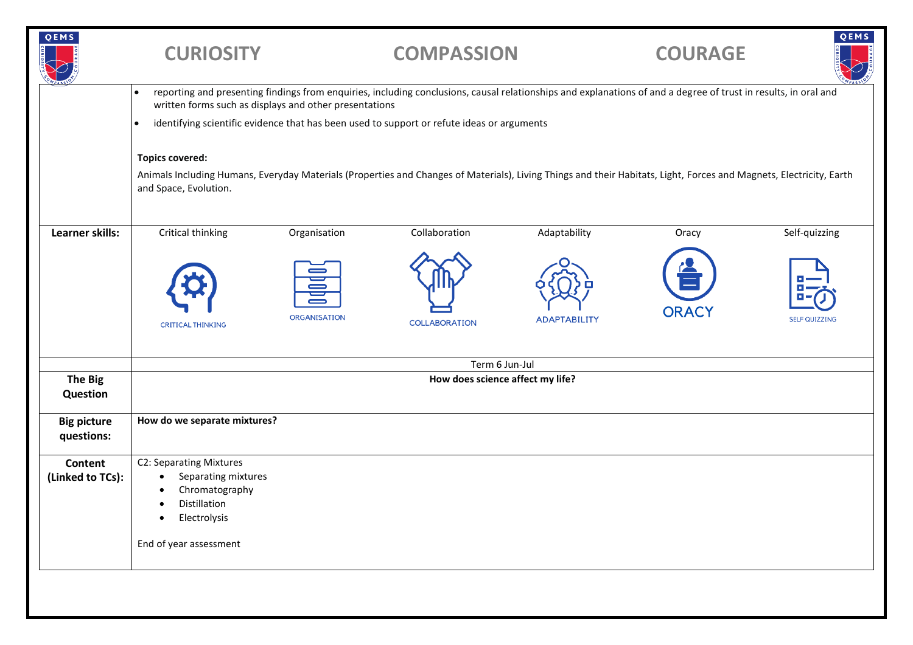| QEMS                               | <b>CURIOSITY</b>                                                                                                                                                                                                                       |              | <b>COMPASSION</b> |                     | <b>COURAGE</b> | QEMS                 |  |
|------------------------------------|----------------------------------------------------------------------------------------------------------------------------------------------------------------------------------------------------------------------------------------|--------------|-------------------|---------------------|----------------|----------------------|--|
|                                    | reporting and presenting findings from enquiries, including conclusions, causal relationships and explanations of and a degree of trust in results, in oral and<br>$\bullet$<br>written forms such as displays and other presentations |              |                   |                     |                |                      |  |
|                                    | identifying scientific evidence that has been used to support or refute ideas or arguments<br>٠                                                                                                                                        |              |                   |                     |                |                      |  |
|                                    | <b>Topics covered:</b>                                                                                                                                                                                                                 |              |                   |                     |                |                      |  |
|                                    | Animals Including Humans, Everyday Materials (Properties and Changes of Materials), Living Things and their Habitats, Light, Forces and Magnets, Electricity, Earth<br>and Space, Evolution.                                           |              |                   |                     |                |                      |  |
| Learner skills:                    | Critical thinking                                                                                                                                                                                                                      | Organisation | Collaboration     | Adaptability        | Oracy          | Self-quizzing        |  |
|                                    | <b>CRITICAL THINKING</b>                                                                                                                                                                                                               | ORGANISATION | COLLABORATION     | <b>ADAPTABILITY</b> | <b>ORACY</b>   | <b>SELF QUIZZING</b> |  |
|                                    | Term 6 Jun-Jul                                                                                                                                                                                                                         |              |                   |                     |                |                      |  |
| <b>The Big</b><br>Question         | How does science affect my life?                                                                                                                                                                                                       |              |                   |                     |                |                      |  |
| <b>Big picture</b><br>questions:   | How do we separate mixtures?                                                                                                                                                                                                           |              |                   |                     |                |                      |  |
| <b>Content</b><br>(Linked to TCs): | C2: Separating Mixtures<br>Separating mixtures<br>$\bullet$<br>Chromatography<br>٠<br>Distillation<br>$\bullet$<br>Electrolysis<br>$\bullet$                                                                                           |              |                   |                     |                |                      |  |
|                                    | End of year assessment                                                                                                                                                                                                                 |              |                   |                     |                |                      |  |